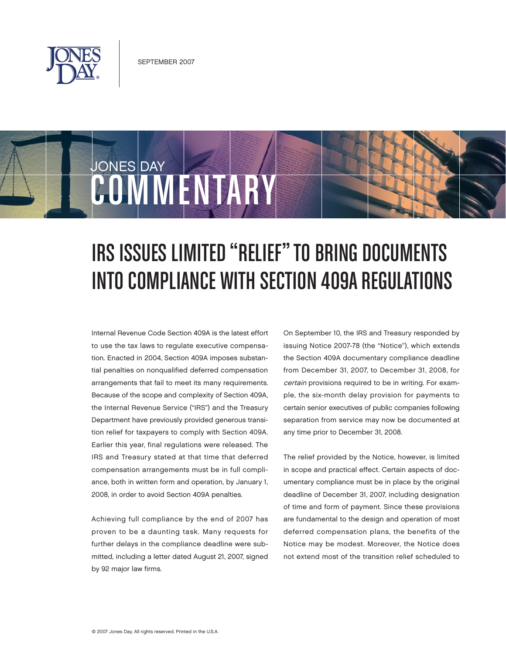

COMMENTARY

JONES DAY

## IRS Issues Limited "Relief" to Bring Documents into Compliance with Section 409A Regulations

Internal Revenue Code Section 409A is the latest effort to use the tax laws to regulate executive compensation. Enacted in 2004, Section 409A imposes substantial penalties on nonqualified deferred compensation arrangements that fail to meet its many requirements. Because of the scope and complexity of Section 409A, the Internal Revenue Service ("IRS") and the Treasury Department have previously provided generous transition relief for taxpayers to comply with Section 409A. Earlier this year, final regulations were released. The IRS and Treasury stated at that time that deferred compensation arrangements must be in full compliance, both in written form and operation, by January 1, 2008, in order to avoid Section 409A penalties.

Achieving full compliance by the end of 2007 has proven to be a daunting task. Many requests for further delays in the compliance deadline were submitted, including a letter dated August 21, 2007, signed by 92 major law firms.

On September 10, the IRS and Treasury responded by issuing Notice 2007-78 (the "Notice"), which extends the Section 409A documentary compliance deadline from December 31, 2007, to December 31, 2008, for certain provisions required to be in writing. For example, the six-month delay provision for payments to certain senior executives of public companies following separation from service may now be documented at any time prior to December 31, 2008.

The relief provided by the Notice, however, is limited in scope and practical effect. Certain aspects of documentary compliance must be in place by the original deadline of December 31, 2007, including designation of time and form of payment. Since these provisions are fundamental to the design and operation of most deferred compensation plans, the benefits of the Notice may be modest. Moreover, the Notice does not extend most of the transition relief scheduled to